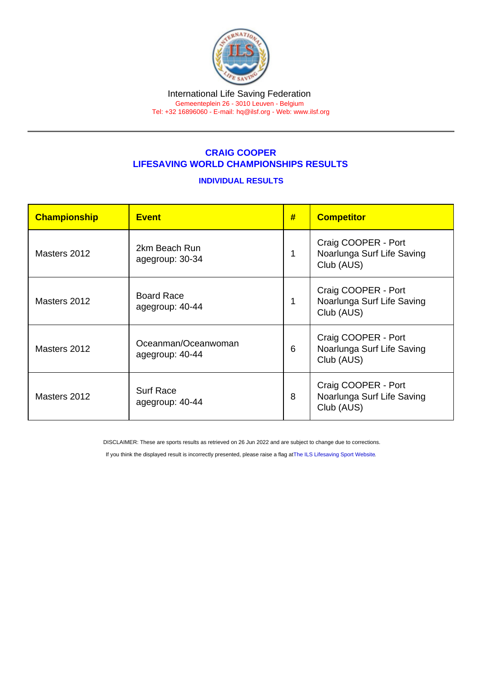## CRAIG COOPER LIFESAVING WORLD CHAMPIONSHIPS RESULTS

## INDIVIDUAL RESULTS

| Championship | <b>Event</b>                           | # | <b>Competitor</b>                                               |
|--------------|----------------------------------------|---|-----------------------------------------------------------------|
| Masters 2012 | 2km Beach Run<br>agegroup: 30-34       | 1 | Craig COOPER - Port<br>Noarlunga Surf Life Saving<br>Club (AUS) |
| Masters 2012 | <b>Board Race</b><br>agegroup: 40-44   | 1 | Craig COOPER - Port<br>Noarlunga Surf Life Saving<br>Club (AUS) |
| Masters 2012 | Oceanman/Oceanwoman<br>agegroup: 40-44 | 6 | Craig COOPER - Port<br>Noarlunga Surf Life Saving<br>Club (AUS) |
| Masters 2012 | <b>Surf Race</b><br>agegroup: 40-44    | 8 | Craig COOPER - Port<br>Noarlunga Surf Life Saving<br>Club (AUS) |

DISCLAIMER: These are sports results as retrieved on 26 Jun 2022 and are subject to change due to corrections.

If you think the displayed result is incorrectly presented, please raise a flag at [The ILS Lifesaving Sport Website.](https://sport.ilsf.org)